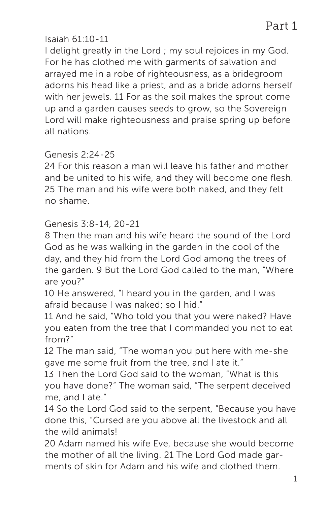### Isaiah 61:10-11

I delight greatly in the Lord ; my soul rejoices in my God. For he has clothed me with garments of salvation and arrayed me in a robe of righteousness, as a bridegroom adorns his head like a priest, and as a bride adorns herself with her jewels. 11 For as the soil makes the sprout come up and a garden causes seeds to grow, so the Sovereign Lord will make righteousness and praise spring up before all nations.

### Genesis 2:24-25

24 For this reason a man will leave his father and mother and be united to his wife, and they will become one flesh. 25 The man and his wife were both naked, and they felt no shame.

### Genesis 3:8-14, 20-21

8 Then the man and his wife heard the sound of the Lord God as he was walking in the garden in the cool of the day, and they hid from the Lord God among the trees of the garden. 9 But the Lord God called to the man, "Where are you?"

10 He answered, "I heard you in the garden, and I was afraid because I was naked; so I hid."

11 And he said, "Who told you that you were naked? Have you eaten from the tree that I commanded you not to eat from?"

12 The man said, "The woman you put here with me-she gave me some fruit from the tree, and I ate it."

13 Then the Lord God said to the woman, "What is this you have done?" The woman said, "The serpent deceived me, and I ate."

14 So the Lord God said to the serpent, "Because you have done this, "Cursed are you above all the livestock and all the wild animals!

20 Adam named his wife Eve, because she would become the mother of all the living. 21 The Lord God made garments of skin for Adam and his wife and clothed them.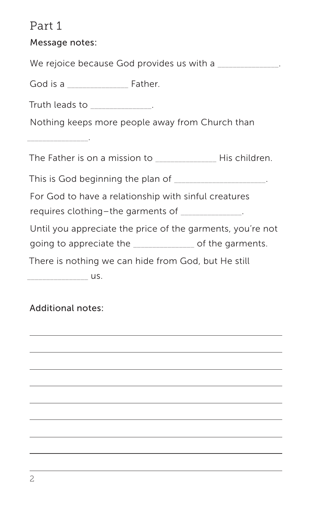# Part 1

| Message notes:                                                |
|---------------------------------------------------------------|
| We rejoice because God provides us with a                     |
|                                                               |
| Truth leads to _____________.                                 |
| Nothing keeps more people away from Church than               |
| _______________________                                       |
| The Father is on a mission to _________________ His children. |
| This is God beginning the plan of ____________________.       |
| For God to have a relationship with sinful creatures          |
| requires clothing-the garments of ______________.             |
| Until you appreciate the price of the garments, you're not    |
| going to appreciate the ______________ of the garments.       |
| There is nothing we can hide from God, but He still           |
|                                                               |

L,

L.

 $\overline{\phantom{0}}$ 

### Additional notes: